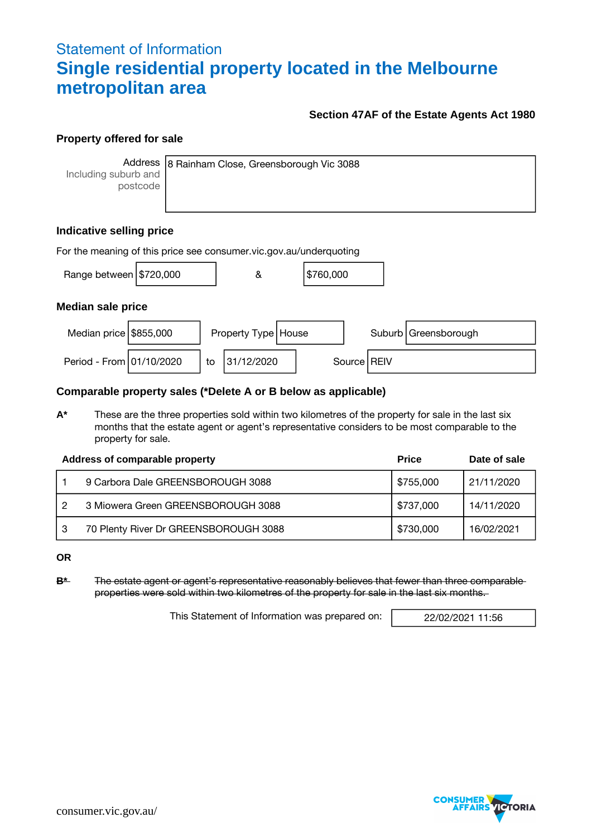# Statement of Information **Single residential property located in the Melbourne metropolitan area**

## **Section 47AF of the Estate Agents Act 1980**

### **Property offered for sale**

**Address** Including suburb and postcode

8 Rainham Close, Greensborough Vic 3088

# **Indicative selling price**

| For the meaning of this price see consumer vic gov au/underquoting |  |    |                       |  |           |  |               |                        |
|--------------------------------------------------------------------|--|----|-----------------------|--|-----------|--|---------------|------------------------|
| Range between $\frac{15720,000}{200}$                              |  |    | &                     |  | \$760,000 |  |               |                        |
| <b>Median sale price</b>                                           |  |    |                       |  |           |  |               |                        |
| Median price $$855,000$                                            |  |    | Property Type   House |  |           |  |               | Suburb   Greensborough |
| Period - From 01/10/2020                                           |  | to | 31/12/2020            |  |           |  | Source   REIV |                        |

### **Comparable property sales (\*Delete A or B below as applicable)**

**A\*** These are the three properties sold within two kilometres of the property for sale in the last six months that the estate agent or agent's representative considers to be most comparable to the property for sale.

|     | Address of comparable property        | <b>Price</b> | Date of sale |
|-----|---------------------------------------|--------------|--------------|
|     | 9 Carbora Dale GREENSBOROUGH 3088     | \$755,000    | 21/11/2020   |
| - 2 | 3 Miowera Green GREENSBOROUGH 3088    | \$737,000    | 14/11/2020   |
| ı 3 | 70 Plenty River Dr GREENSBOROUGH 3088 | \$730,000    | 16/02/2021   |

**OR**

**B\*** The estate agent or agent's representative reasonably believes that fewer than three comparable properties were sold within two kilometres of the property for sale in the last six months.

This Statement of Information was prepared on: | 22/02/2021 11:56